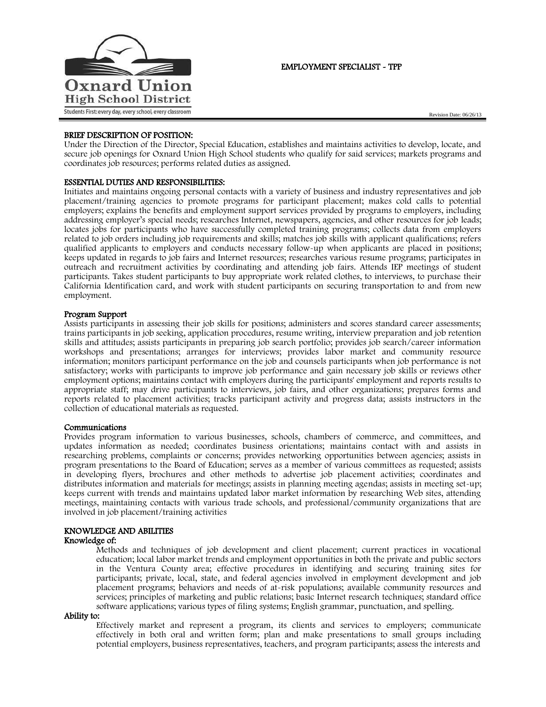

# EMPLOYMENT SPECIALIST - TPP

## BRIEF DESCRIPTION OF POSITION:

Under the Direction of the Director, Special Education, establishes and maintains activities to develop, locate, and secure job openings for Oxnard Union High School students who qualify for said services; markets programs and coordinates job resources; performs related duties as assigned.

# ESSENTIAL DUTIES AND RESPONSIBILITIES:

Initiates and maintains ongoing personal contacts with a variety of business and industry representatives and job placement/training agencies to promote programs for participant placement; makes cold calls to potential employers; explains the benefits and employment support services provided by programs to employers, including addressing employer's special needs; researches Internet, newspapers, agencies, and other resources for job leads; locates jobs for participants who have successfully completed training programs; collects data from employers related to job orders including job requirements and skills; matches job skills with applicant qualifications; refers qualified applicants to employers and conducts necessary follow-up when applicants are placed in positions; keeps updated in regards to job fairs and Internet resources; researches various resume programs; participates in outreach and recruitment activities by coordinating and attending job fairs. Attends IEP meetings of student participants. Takes student participants to buy appropriate work related clothes, to interviews, to purchase their California Identification card, and work with student participants on securing transportation to and from new employment.

## Program Support

Assists participants in assessing their job skills for positions; administers and scores standard career assessments; trains participants in job seeking, application procedures, resume writing, interview preparation and job retention skills and attitudes; assists participants in preparing job search portfolio; provides job search/career information workshops and presentations; arranges for interviews; provides labor market and community resource information; monitors participant performance on the job and counsels participants when job performance is not satisfactory; works with participants to improve job performance and gain necessary job skills or reviews other employment options; maintains contact with employers during the participants' employment and reports results to appropriate staff; may drive participants to interviews, job fairs, and other organizations; prepares forms and reports related to placement activities; tracks participant activity and progress data; assists instructors in the collection of educational materials as requested.

#### Communications

Provides program information to various businesses, schools, chambers of commerce, and committees, and updates information as needed; coordinates business orientations; maintains contact with and assists in researching problems, complaints or concerns; provides networking opportunities between agencies; assists in program presentations to the Board of Education; serves as a member of various committees as requested; assists in developing flyers, brochures and other methods to advertise job placement activities; coordinates and distributes information and materials for meetings; assists in planning meeting agendas; assists in meeting set-up; keeps current with trends and maintains updated labor market information by researching Web sites, attending meetings, maintaining contacts with various trade schools, and professional/community organizations that are involved in job placement/training activities

# KNOWLEDGE AND ABILITIES

### Knowledge of:

Methods and techniques of job development and client placement; current practices in vocational education; local labor market trends and employment opportunities in both the private and public sectors in the Ventura County area; effective procedures in identifying and securing training sites for participants; private, local, state, and federal agencies involved in employment development and job placement programs; behaviors and needs of at-risk populations; available community resources and services; principles of marketing and public relations; basic Internet research techniques; standard office software applications; various types of filing systems; English grammar, punctuation, and spelling.

#### Ability to:

Effectively market and represent a program, its clients and services to employers; communicate effectively in both oral and written form; plan and make presentations to small groups including potential employers, business representatives, teachers, and program participants; assess the interests and